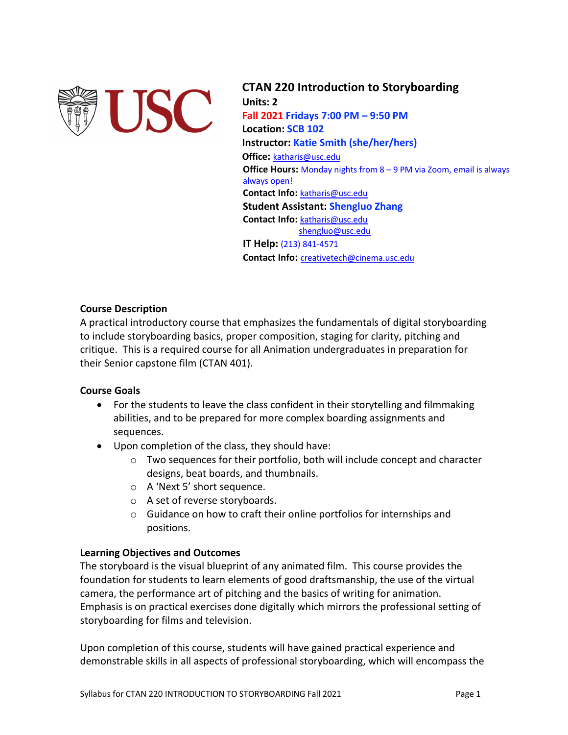

**CTAN 220 Introduction to Storyboarding Units: 2 Fall 2021 Fridays 7:00 PM – 9:50 PM Location: SCB 102 Instructor: Katie Smith (she/her/hers) Office:** katharis@usc.edu **Office Hours:** Monday nights from 8 – 9 PM via Zoom, email is always always open! **Contact Info:** katharis@usc.edu **Student Assistant: Shengluo Zhang Contact Info:** katharis@usc.edu shengluo@usc.edu **IT Help:** (213) 841-4571 **Contact Info:** creativetech@cinema.usc.edu

# **Course Description**

A practical introductory course that emphasizes the fundamentals of digital storyboarding to include storyboarding basics, proper composition, staging for clarity, pitching and critique. This is a required course for all Animation undergraduates in preparation for their Senior capstone film (CTAN 401).

# **Course Goals**

- For the students to leave the class confident in their storytelling and filmmaking abilities, and to be prepared for more complex boarding assignments and sequences.
- Upon completion of the class, they should have:
	- $\circ$  Two sequences for their portfolio, both will include concept and character designs, beat boards, and thumbnails.
	- o A 'Next 5' short sequence.
	- o A set of reverse storyboards.
	- o Guidance on how to craft their online portfolios for internships and positions.

# **Learning Objectives and Outcomes**

The storyboard is the visual blueprint of any animated film. This course provides the foundation for students to learn elements of good draftsmanship, the use of the virtual camera, the performance art of pitching and the basics of writing for animation. Emphasis is on practical exercises done digitally which mirrors the professional setting of storyboarding for films and television.

Upon completion of this course, students will have gained practical experience and demonstrable skills in all aspects of professional storyboarding, which will encompass the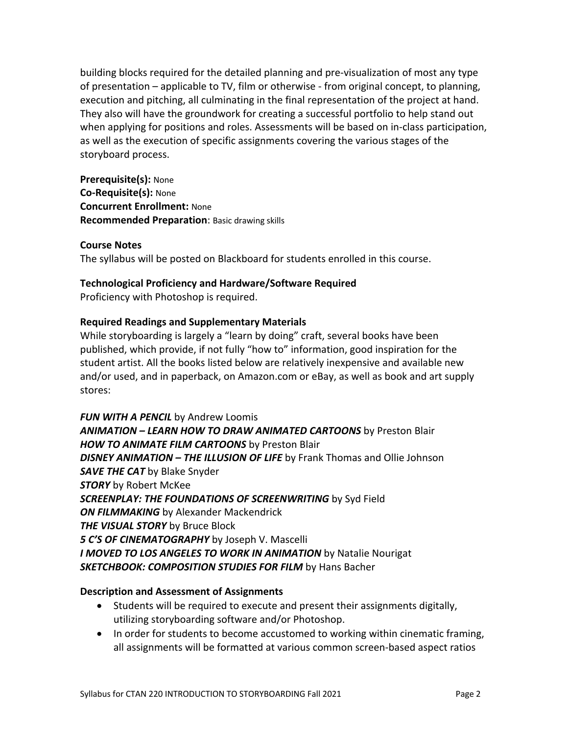building blocks required for the detailed planning and pre-visualization of most any type of presentation – applicable to TV, film or otherwise - from original concept, to planning, execution and pitching, all culminating in the final representation of the project at hand. They also will have the groundwork for creating a successful portfolio to help stand out when applying for positions and roles. Assessments will be based on in-class participation, as well as the execution of specific assignments covering the various stages of the storyboard process.

**Prerequisite(s):** None **Co-Requisite(s):** None **Concurrent Enrollment:** None **Recommended Preparation**: Basic drawing skills

# **Course Notes**

The syllabus will be posted on Blackboard for students enrolled in this course.

# **Technological Proficiency and Hardware/Software Required**

Proficiency with Photoshop is required.

# **Required Readings and Supplementary Materials**

While storyboarding is largely a "learn by doing" craft, several books have been published, which provide, if not fully "how to" information, good inspiration for the student artist. All the books listed below are relatively inexpensive and available new and/or used, and in paperback, on Amazon.com or eBay, as well as book and art supply stores:

*FUN WITH A PENCIL* by Andrew Loomis *ANIMATION – LEARN HOW TO DRAW ANIMATED CARTOONS* by Preston Blair *HOW TO ANIMATE FILM CARTOONS* by Preston Blair *DISNEY ANIMATION – THE ILLUSION OF LIFE* by Frank Thomas and Ollie Johnson **SAVE THE CAT** by Blake Snyder *STORY* by Robert McKee *SCREENPLAY: THE FOUNDATIONS OF SCREENWRITING* by Syd Field *ON FILMMAKING* by Alexander Mackendrick *THE VISUAL STORY* by Bruce Block *5 C'S OF CINEMATOGRAPHY* by Joseph V. Mascelli *I MOVED TO LOS ANGELES TO WORK IN ANIMATION* by Natalie Nourigat *SKETCHBOOK: COMPOSITION STUDIES FOR FILM* by Hans Bacher

# **Description and Assessment of Assignments**

- Students will be required to execute and present their assignments digitally, utilizing storyboarding software and/or Photoshop.
- In order for students to become accustomed to working within cinematic framing, all assignments will be formatted at various common screen-based aspect ratios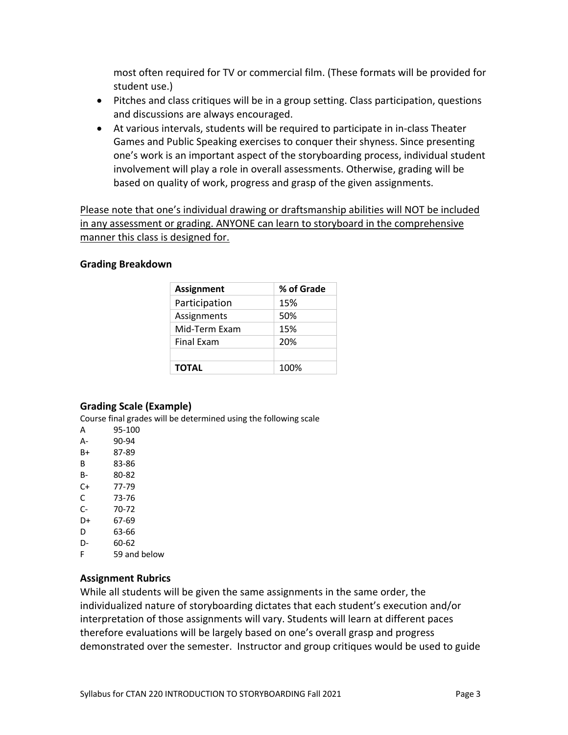most often required for TV or commercial film. (These formats will be provided for student use.)

- Pitches and class critiques will be in a group setting. Class participation, questions and discussions are always encouraged.
- At various intervals, students will be required to participate in in-class Theater Games and Public Speaking exercises to conquer their shyness. Since presenting one's work is an important aspect of the storyboarding process, individual student involvement will play a role in overall assessments. Otherwise, grading will be based on quality of work, progress and grasp of the given assignments.

Please note that one's individual drawing or draftsmanship abilities will NOT be included in any assessment or grading. ANYONE can learn to storyboard in the comprehensive manner this class is designed for.

### **Grading Breakdown**

| <b>Assignment</b> | % of Grade |
|-------------------|------------|
| Participation     | 15%        |
| Assignments       | 50%        |
| Mid-Term Exam     | 15%        |
| <b>Final Exam</b> | 20%        |
|                   |            |
| <b>TOTAL</b>      | 100%       |

# **Grading Scale (Example)**

Course final grades will be determined using the following scale

- A 95-100
- A- 90-94
- B+ 87-89
- B 83-86
- B- 80-82
- C+ 77-79
- C 73-76
- C- 70-72
- D+ 67-69
- D 63-66
- D- 60-62
- F 59 and below

# **Assignment Rubrics**

While all students will be given the same assignments in the same order, the individualized nature of storyboarding dictates that each student's execution and/or interpretation of those assignments will vary. Students will learn at different paces therefore evaluations will be largely based on one's overall grasp and progress demonstrated over the semester. Instructor and group critiques would be used to guide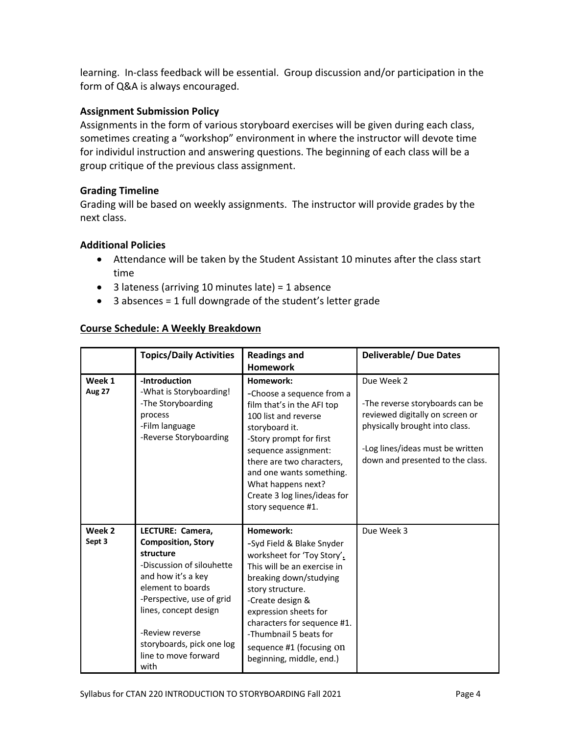learning. In-class feedback will be essential. Group discussion and/or participation in the form of Q&A is always encouraged.

# **Assignment Submission Policy**

Assignments in the form of various storyboard exercises will be given during each class, sometimes creating a "workshop" environment in where the instructor will devote time for individul instruction and answering questions. The beginning of each class will be a group critique of the previous class assignment.

# **Grading Timeline**

Grading will be based on weekly assignments. The instructor will provide grades by the next class.

# **Additional Policies**

- Attendance will be taken by the Student Assistant 10 minutes after the class start time
- 3 lateness (arriving 10 minutes late) = 1 absence
- 3 absences = 1 full downgrade of the student's letter grade

# **Course Schedule: A Weekly Breakdown**

|                         | <b>Topics/Daily Activities</b>                                                                                                                                                                                                                                           | <b>Readings and</b><br><b>Homework</b>                                                                                                                                                                                                                                                                          | <b>Deliverable/ Due Dates</b>                                                                                                                                                              |
|-------------------------|--------------------------------------------------------------------------------------------------------------------------------------------------------------------------------------------------------------------------------------------------------------------------|-----------------------------------------------------------------------------------------------------------------------------------------------------------------------------------------------------------------------------------------------------------------------------------------------------------------|--------------------------------------------------------------------------------------------------------------------------------------------------------------------------------------------|
| Week 1<br><b>Aug 27</b> | -Introduction<br>-What is Storyboarding!<br>-The Storyboarding<br>process<br>-Film language<br>-Reverse Storyboarding                                                                                                                                                    | Homework:<br>-Choose a sequence from a<br>film that's in the AFI top<br>100 list and reverse<br>storyboard it.<br>-Story prompt for first<br>sequence assignment:<br>there are two characters,<br>and one wants something.<br>What happens next?<br>Create 3 log lines/ideas for<br>story sequence #1.          | Due Week 2<br>-The reverse storyboards can be<br>reviewed digitally on screen or<br>physically brought into class.<br>-Log lines/ideas must be written<br>down and presented to the class. |
| Week 2<br>Sept 3        | LECTURE: Camera,<br><b>Composition, Story</b><br>structure<br>-Discussion of silouhette<br>and how it's a key<br>element to boards<br>-Perspective, use of grid<br>lines, concept design<br>-Review reverse<br>storyboards, pick one log<br>line to move forward<br>with | Homework:<br>-Syd Field & Blake Snyder<br>worksheet for 'Toy Story'.<br>This will be an exercise in<br>breaking down/studying<br>story structure.<br>-Create design &<br>expression sheets for<br>characters for sequence #1.<br>-Thumbnail 5 beats for<br>sequence #1 (focusing On<br>beginning, middle, end.) | Due Week 3                                                                                                                                                                                 |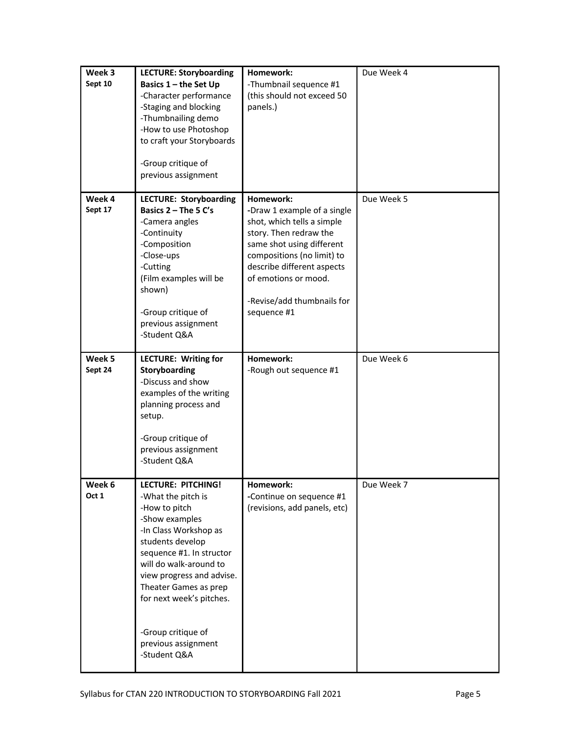| Week 3<br>Sept 10 | <b>LECTURE: Storyboarding</b><br>Basics 1 - the Set Up<br>-Character performance<br>-Staging and blocking<br>-Thumbnailing demo<br>-How to use Photoshop<br>to craft your Storyboards<br>-Group critique of<br>previous assignment                                                                                                   | Homework:<br>-Thumbnail sequence #1<br>(this should not exceed 50<br>panels.)                                                                                                                                                                                  | Due Week 4 |
|-------------------|--------------------------------------------------------------------------------------------------------------------------------------------------------------------------------------------------------------------------------------------------------------------------------------------------------------------------------------|----------------------------------------------------------------------------------------------------------------------------------------------------------------------------------------------------------------------------------------------------------------|------------|
| Week 4<br>Sept 17 | <b>LECTURE: Storyboarding</b><br>Basics $2 - The 5 C's$<br>-Camera angles<br>-Continuity<br>-Composition<br>-Close-ups<br>-Cutting<br>(Film examples will be<br>shown)<br>-Group critique of<br>previous assignment<br>-Student Q&A                                                                                                  | Homework:<br>-Draw 1 example of a single<br>shot, which tells a simple<br>story. Then redraw the<br>same shot using different<br>compositions (no limit) to<br>describe different aspects<br>of emotions or mood.<br>-Revise/add thumbnails for<br>sequence #1 | Due Week 5 |
| Week 5<br>Sept 24 | <b>LECTURE: Writing for</b><br><b>Storyboarding</b><br>-Discuss and show<br>examples of the writing<br>planning process and<br>setup.<br>-Group critique of<br>previous assignment<br>-Student Q&A                                                                                                                                   | Homework:<br>-Rough out sequence #1                                                                                                                                                                                                                            | Due Week 6 |
| Week 6<br>Oct 1   | <b>LECTURE: PITCHING!</b><br>-What the pitch is<br>-How to pitch<br>-Show examples<br>-In Class Workshop as<br>students develop<br>sequence #1. In structor<br>will do walk-around to<br>view progress and advise.<br>Theater Games as prep<br>for next week's pitches.<br>-Group critique of<br>previous assignment<br>-Student Q&A | Homework:<br>-Continue on sequence #1<br>(revisions, add panels, etc)                                                                                                                                                                                          | Due Week 7 |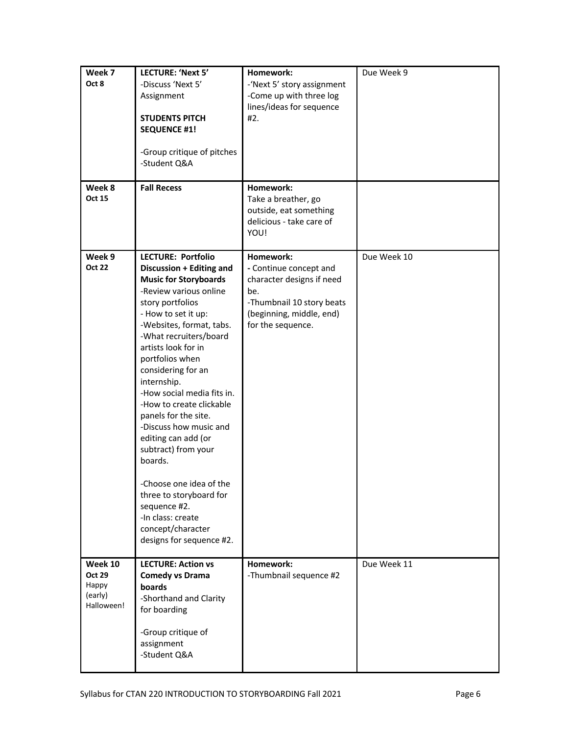| Week 7<br>Oct 8<br>Week 8<br><b>Oct 15</b>                 | LECTURE: 'Next 5'<br>-Discuss 'Next 5'<br>Assignment<br><b>STUDENTS PITCH</b><br><b>SEQUENCE #1!</b><br>-Group critique of pitches<br>-Student Q&A<br><b>Fall Recess</b>                                                                                                                                                                                                                                                                                                                                                                                                                                         | Homework:<br>-'Next 5' story assignment<br>-Come up with three log<br>lines/ideas for sequence<br>#2.<br>Homework:<br>Take a breather, go<br>outside, eat something<br>delicious - take care of<br>YOU! | Due Week 9  |
|------------------------------------------------------------|------------------------------------------------------------------------------------------------------------------------------------------------------------------------------------------------------------------------------------------------------------------------------------------------------------------------------------------------------------------------------------------------------------------------------------------------------------------------------------------------------------------------------------------------------------------------------------------------------------------|---------------------------------------------------------------------------------------------------------------------------------------------------------------------------------------------------------|-------------|
| Week 9<br><b>Oct 22</b>                                    | <b>LECTURE: Portfolio</b><br>Discussion + Editing and<br><b>Music for Storyboards</b><br>-Review various online<br>story portfolios<br>- How to set it up:<br>-Websites, format, tabs.<br>-What recruiters/board<br>artists look for in<br>portfolios when<br>considering for an<br>internship.<br>-How social media fits in.<br>-How to create clickable<br>panels for the site.<br>-Discuss how music and<br>editing can add (or<br>subtract) from your<br>boards.<br>-Choose one idea of the<br>three to storyboard for<br>sequence #2.<br>-In class: create<br>concept/character<br>designs for sequence #2. | Homework:<br>- Continue concept and<br>character designs if need<br>be.<br>-Thumbnail 10 story beats<br>(beginning, middle, end)<br>for the sequence.                                                   | Due Week 10 |
| Week 10<br><b>Oct 29</b><br>Happy<br>(early)<br>Halloween! | <b>LECTURE: Action vs</b><br><b>Comedy vs Drama</b><br>boards<br>-Shorthand and Clarity<br>for boarding<br>-Group critique of<br>assignment<br>-Student Q&A                                                                                                                                                                                                                                                                                                                                                                                                                                                      | Homework:<br>-Thumbnail sequence #2                                                                                                                                                                     | Due Week 11 |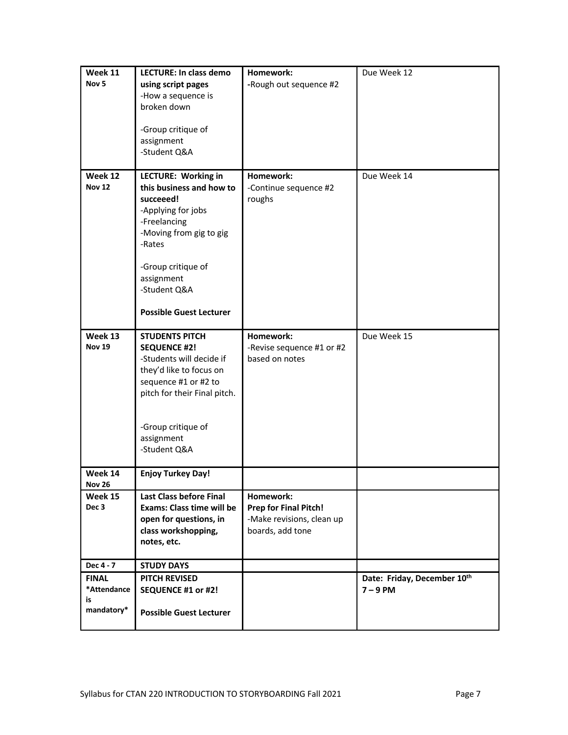| Week 11<br>Nov <sub>5</sub>                     | <b>LECTURE: In class demo</b><br>using script pages<br>-How a sequence is<br>broken down<br>-Group critique of<br>assignment<br>-Student Q&A                                                                                  | Homework:<br>-Rough out sequence #2                                                 | Due Week 12                               |
|-------------------------------------------------|-------------------------------------------------------------------------------------------------------------------------------------------------------------------------------------------------------------------------------|-------------------------------------------------------------------------------------|-------------------------------------------|
| Week 12<br><b>Nov 12</b>                        | LECTURE: Working in<br>this business and how to<br>succeeed!<br>-Applying for jobs<br>-Freelancing<br>-Moving from gig to gig<br>-Rates<br>-Group critique of<br>assignment<br>-Student Q&A<br><b>Possible Guest Lecturer</b> | Homework:<br>-Continue sequence #2<br>roughs                                        | Due Week 14                               |
| Week 13<br><b>Nov 19</b>                        | <b>STUDENTS PITCH</b><br><b>SEQUENCE #2!</b><br>-Students will decide if<br>they'd like to focus on<br>sequence #1 or #2 to<br>pitch for their Final pitch.<br>-Group critique of<br>assignment<br>-Student Q&A               | Homework:<br>-Revise sequence #1 or #2<br>based on notes                            | Due Week 15                               |
| Week 14<br><b>Nov 26</b>                        | <b>Enjoy Turkey Day!</b>                                                                                                                                                                                                      |                                                                                     |                                           |
| Week 15<br>Dec 3                                | <b>Last Class before Final</b><br><b>Exams: Class time will be</b><br>open for questions, in<br>class workshopping,<br>notes, etc.                                                                                            | Homework:<br>Prep for Final Pitch!<br>-Make revisions, clean up<br>boards, add tone |                                           |
| Dec 4 - 7                                       | <b>STUDY DAYS</b>                                                                                                                                                                                                             |                                                                                     |                                           |
| <b>FINAL</b><br>*Attendance<br>is<br>mandatory* | <b>PITCH REVISED</b><br>SEQUENCE #1 or #2!<br><b>Possible Guest Lecturer</b>                                                                                                                                                  |                                                                                     | Date: Friday, December 10th<br>$7 - 9$ PM |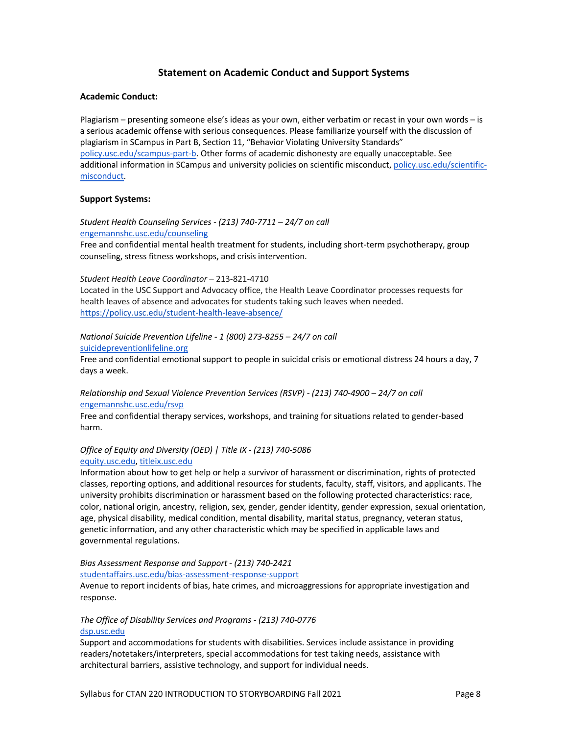### **Statement on Academic Conduct and Support Systems**

### **Academic Conduct:**

Plagiarism – presenting someone else's ideas as your own, either verbatim or recast in your own words – is a serious academic offense with serious consequences. Please familiarize yourself with the discussion of plagiarism in SCampus in Part B, Section 11, "Behavior Violating University Standards" policy.usc.edu/scampus-part-b. Other forms of academic dishonesty are equally unacceptable. See additional information in SCampus and university policies on scientific misconduct, policy.usc.edu/scientificmisconduct.

### **Support Systems:**

*Student Health Counseling Services - (213) 740-7711 – 24/7 on call* engemannshc.usc.edu/counseling

Free and confidential mental health treatment for students, including short-term psychotherapy, group counseling, stress fitness workshops, and crisis intervention.

*Student Health Leave Coordinator* – 213-821-4710

Located in the USC Support and Advocacy office, the Health Leave Coordinator processes requests for health leaves of absence and advocates for students taking such leaves when needed. https://policy.usc.edu/student-health-leave-absence/

### *National Suicide Prevention Lifeline - 1 (800) 273-8255 – 24/7 on call*

suicidepreventionlifeline.org

Free and confidential emotional support to people in suicidal crisis or emotional distress 24 hours a day, 7 days a week.

### *Relationship and Sexual Violence Prevention Services (RSVP) - (213) 740-4900 – 24/7 on call* engemannshc.usc.edu/rsvp

Free and confidential therapy services, workshops, and training for situations related to gender-based harm.

### *Office of Equity and Diversity (OED) | Title IX - (213) 740-5086* equity.usc.edu, titleix.usc.edu

Information about how to get help or help a survivor of harassment or discrimination, rights of protected classes, reporting options, and additional resources for students, faculty, staff, visitors, and applicants. The university prohibits discrimination or harassment based on the following protected characteristics: race, color, national origin, ancestry, religion, sex, gender, gender identity, gender expression, sexual orientation, age, physical disability, medical condition, mental disability, marital status, pregnancy, veteran status, genetic information, and any other characteristic which may be specified in applicable laws and governmental regulations.

#### *Bias Assessment Response and Support - (213) 740-2421*

#### studentaffairs.usc.edu/bias-assessment-response-support

Avenue to report incidents of bias, hate crimes, and microaggressions for appropriate investigation and response.

### *The Office of Disability Services and Programs - (213) 740-0776* dsp.usc.edu

Support and accommodations for students with disabilities. Services include assistance in providing readers/notetakers/interpreters, special accommodations for test taking needs, assistance with architectural barriers, assistive technology, and support for individual needs.